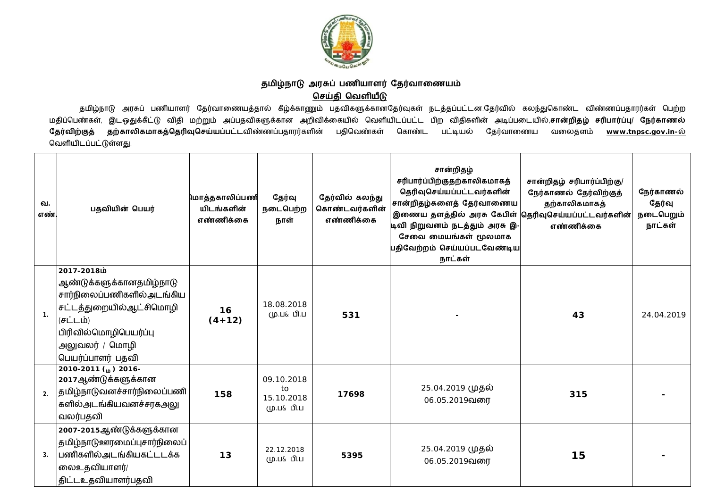

<u>தமிழ்நாடு அரசுப் பணியாளர் தேர்வாணையம்</u>

## **ெசதி ெவளய**

தமிழ்நாடு அரசுப் பணியாளர் தேர்வாணையத்தால் கீழ்க்காணும் பதவிகளுக்கானதேர்வுகள் நடத்தப்பட்டன.தேர்வில் கலந்துகொண்ட விண்ணப்பதாரர்கள் பெற்ற மதிப்பெண்கள், இடஒதுக்கீட்டு விதி மற்றும் அப்பதவிகளுக்கான அறிவிக்கையில் வெளியிடப்பட்ட பிற விதிகளின் அடிப்படையில்,சான்றிதழ் சரிபார்ப்பு/ நேர்காணல் **தேர்விற்குத் தற்காலிகமாகத்தெரிவுசெய்யப்பட்ட**விண்ணப்பதாரர்களின் பதிவெண்கள் கொண்ட பட்டியல் தேர்வாணைய வலைதளம் <u>[www.tnpsc.gov.in-](http://www.tnpsc.gov.in-)ல்</u> வெளியிடப்பட்டுள்ளது.

| வ.<br>எண்.     | பதவியின் பெயர்                                                                                                                                                              | மொத்தகாலிப்பணி<br>யிடங்களின்<br>எண்ணிக்கை | தேர்வு<br>நடைபெற்ற<br>நாள்                   | தேர்வில் கலந்து<br>கொண்டவர்களின்<br>எண்ணிக்கை | சான்றிதழ்<br>சரிபார்ப்பிற்குதற்காலிகமாகத்<br>தெரிவுசெய்யப்பட்டவர்களின்<br>சான்றிதழ்களைத் தேர்வாணைய<br>இணைய தளத்தில் அரசு கேபிள் தெரிவுசெய்யப்பட்டவர்களின்<br>டிவி நிறுவனம் நடத்தும் அரசு இ-<br>சேவை மையங்கள் மூலமாக<br>பதிவேற்றம் செய்யப்படவேண்டிய<br>நாட்கள் | சான்றிதழ் சரிபார்ப்பிற்கு/<br>நேர்காணல் தேர்விற்குத்<br>தற்காலிகமாகத்<br>எண்ணிக்கை | நேர்காணல்<br>தேர்வு<br>நடைபெறும்<br>நாட்கள் |
|----------------|-----------------------------------------------------------------------------------------------------------------------------------------------------------------------------|-------------------------------------------|----------------------------------------------|-----------------------------------------------|---------------------------------------------------------------------------------------------------------------------------------------------------------------------------------------------------------------------------------------------------------------|------------------------------------------------------------------------------------|---------------------------------------------|
| $\mathbf{1}$ . | ش2017-2018<br>ஆண்டுக்களுக்கானதமிழ்நாடு<br>சார்நிலைப்பணிகளில் அடங்கிய<br>சட்டத்துறையில்ஆட்சிமொழி<br>(சட்டம்)<br>பிரிவில்மொழிபெயர்ப்பு<br>அலுவலர் / மொழி<br>பெயர்ப்பாளர் பதவி | 16<br>$(4+12)$                            | 18.08.2018<br>மு.ப& பி.ப                     | 531                                           |                                                                                                                                                                                                                                                               | 43                                                                                 | 24.04.2019                                  |
| 2.             | 2010-2011 (in) 2016-<br>2017ஆண்டுக்களுக்கான<br> தமிழ்நாடுவனச்சார்நிலைப்பணி <br>களில்அடங்கியவனச்சரகஅலு<br>வலர்பதவி                                                           | 158                                       | 09.10.2018<br>to<br>15.10.2018<br>மு.ப& பி.ப | 17698                                         | 25.04.2019 முதல்<br>06.05.2019வரை                                                                                                                                                                                                                             | 315                                                                                |                                             |
| 3.             | 2007-2015ஆண்டுக்களுக்கான<br>தமிழ்நாடுஊரமைப்புசார்நிலைப் <br>பணிகளில்அடங்கியகட்டடக்க<br>லைஉதவியாளர்/<br>திட்டஉதவியாளர்பதவி                                                   | 13                                        | 22.12.2018<br>மு.ப& பி.ப                     | 5395                                          | 25.04.2019 முதல்<br>06.05.2019வரை                                                                                                                                                                                                                             | 15                                                                                 |                                             |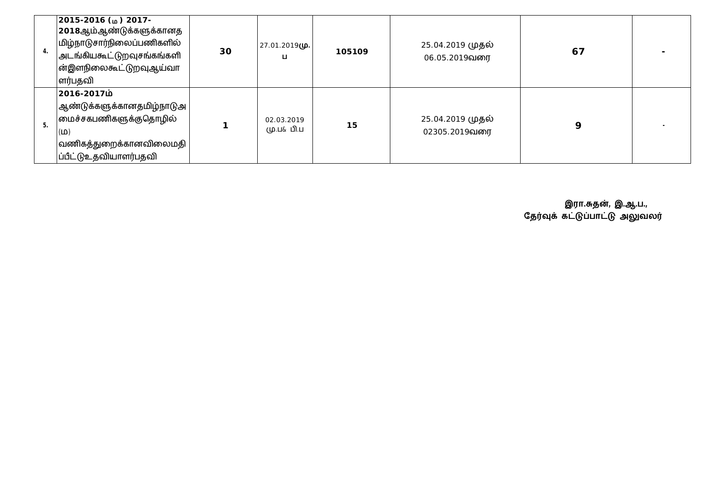| 4. | $2015 - 2016$ ( $\omega$ ) 2017-<br> 2018ஆம்ஆண்டுக்களுக்கானத<br>மிழ்நாடுசார்நிலைப்பணிகளில்<br>அடங்கியகூட்டுறவுசங்கங்களி<br>ன்இளநிலைகூட்டுறவுஆய்வா<br>ளர்பதவி | 30 | 27.01.2019(ழ.<br>ц       | 105109 | 25.04.2019 முதல்<br>06.05.2019வரை        | 67 |  |
|----|--------------------------------------------------------------------------------------------------------------------------------------------------------------|----|--------------------------|--------|------------------------------------------|----|--|
| 5. | 2016-2017ம்<br> ஆண்டுக்களுக்கானதமிழ்நாடுஅ <br> பைச்சகபணிகளுக்குதொழில்<br>(D)<br>$ $ வணிகத்துறைக்கானவிலைமதி $ $<br> ப்பீட்டுஉதவியாளர்பதவி                     |    | 02.03.2019<br>மு.ப& பி.ப | 15     | 25.04.2019 <b>முதல்</b><br>02305.2019வரை | 9  |  |

 **இரா.த}, இ.ஆ.ப.,** தேர்வுக் கட்டுப்பாட்டு அலுவலர்